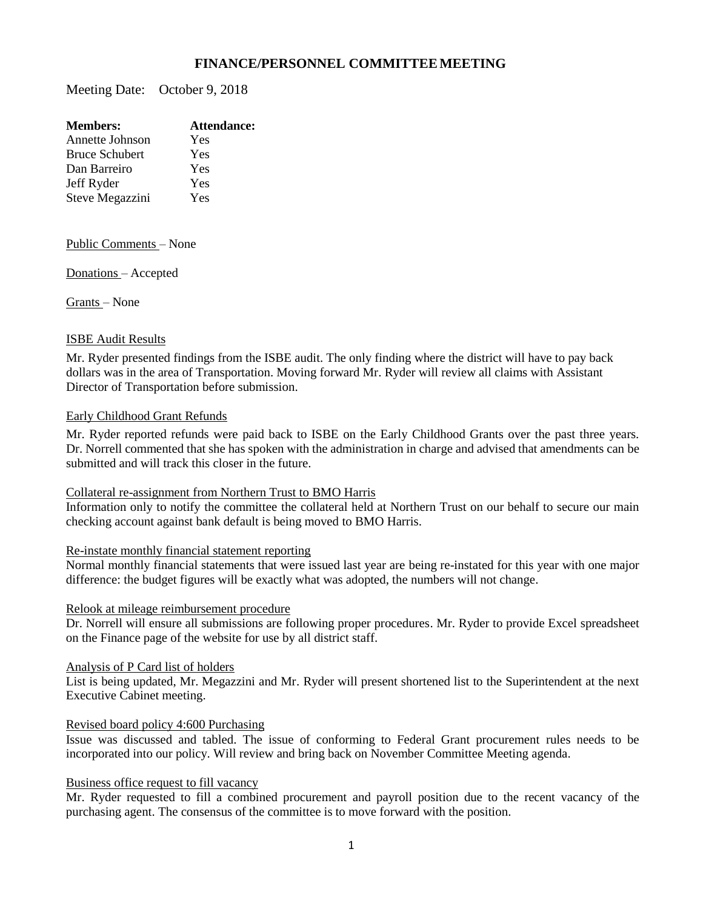# **FINANCE/PERSONNEL COMMITTEEMEETING**

Meeting Date: October 9, 2018

| <b>Members:</b>       | Attendance: |
|-----------------------|-------------|
| Annette Johnson       | Yes         |
| <b>Bruce Schubert</b> | Yes         |
| Dan Barreiro          | Yes         |
| Jeff Ryder            | Yes         |
| Steve Megazzini       | Yes         |
|                       |             |

Public Comments – None

Donations – Accepted

Grants – None

### ISBE Audit Results

Mr. Ryder presented findings from the ISBE audit. The only finding where the district will have to pay back dollars was in the area of Transportation. Moving forward Mr. Ryder will review all claims with Assistant Director of Transportation before submission.

# Early Childhood Grant Refunds

Mr. Ryder reported refunds were paid back to ISBE on the Early Childhood Grants over the past three years. Dr. Norrell commented that she has spoken with the administration in charge and advised that amendments can be submitted and will track this closer in the future.

#### Collateral re-assignment from Northern Trust to BMO Harris

Information only to notify the committee the collateral held at Northern Trust on our behalf to secure our main checking account against bank default is being moved to BMO Harris.

#### Re-instate monthly financial statement reporting

Normal monthly financial statements that were issued last year are being re-instated for this year with one major difference: the budget figures will be exactly what was adopted, the numbers will not change.

# Relook at mileage reimbursement procedure

Dr. Norrell will ensure all submissions are following proper procedures. Mr. Ryder to provide Excel spreadsheet on the Finance page of the website for use by all district staff.

#### Analysis of P Card list of holders

List is being updated, Mr. Megazzini and Mr. Ryder will present shortened list to the Superintendent at the next Executive Cabinet meeting.

#### Revised board policy 4:600 Purchasing

Issue was discussed and tabled. The issue of conforming to Federal Grant procurement rules needs to be incorporated into our policy. Will review and bring back on November Committee Meeting agenda.

# Business office request to fill vacancy

Mr. Ryder requested to fill a combined procurement and payroll position due to the recent vacancy of the purchasing agent. The consensus of the committee is to move forward with the position.